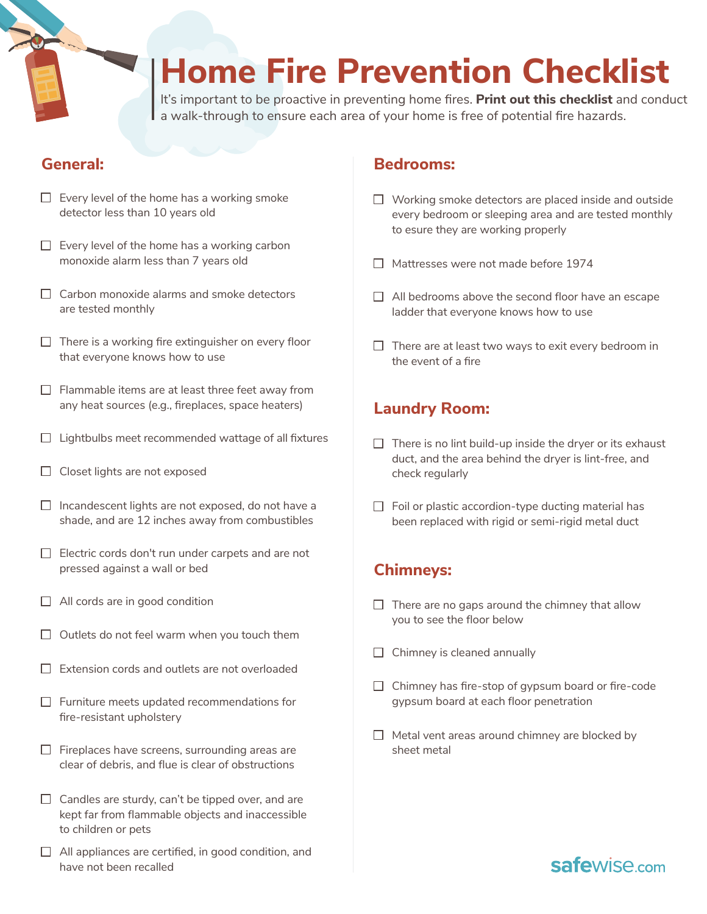# **Home Fire Prevention Checklist**

It's important to be proactive in preventing home fires. **Print out this checklist** and conduct a walk-through to ensure each area of your home is free of potential fire hazards.

## **General:**

- $\Box$  Every level of the home has a working smoke detector less than 10 years old
- $\Box$  Every level of the home has a working carbon monoxide alarm less than 7 years old
- $\Box$  Carbon monoxide alarms and smoke detectors are tested monthly
- $\Box$  There is a working fire extinguisher on every floor that everyone knows how to use
- $\Box$  Flammable items are at least three feet away from any heat sources (e.g., fireplaces, space heaters)
- $\Box$  Lightbulbs meet recommended wattage of all fixtures
- $\Box$  Closet lights are not exposed
- $\Box$  Incandescent lights are not exposed, do not have a shade, and are 12 inches away from combustibles
- $\Box$  Electric cords don't run under carpets and are not pressed against a wall or bed
- $\Box$  All cords are in good condition
- $\Box$  Outlets do not feel warm when you touch them
- $\Box$  Extension cords and outlets are not overloaded
- $\Box$  Furniture meets updated recommendations for fire-resistant upholstery
- $\Box$  Fireplaces have screens, surrounding areas are clear of debris, and flue is clear of obstructions
- $\Box$  Candles are sturdy, can't be tipped over, and are kept far from flammable objects and inaccessible to children or pets
- $\Box$  All appliances are certified, in good condition, and have not been recalled

#### **Bedrooms:**

- $\Box$  Working smoke detectors are placed inside and outside every bedroom or sleeping area and are tested monthly to esure they are working properly
- □ Mattresses were not made before 1974
- $\Box$  All bedrooms above the second floor have an escape ladder that everyone knows how to use
- $\Box$  There are at least two ways to exit every bedroom in the event of a fire

## **Laundry Room:**

- $\Box$  There is no lint build-up inside the dryer or its exhaust duct, and the area behind the dryer is lint-free, and check regularly
- $\Box$  Foil or plastic accordion-type ducting material has been replaced with rigid or semi-rigid metal duct

## **Chimneys:**

- $\Box$  There are no gaps around the chimney that allow you to see the floor below
- $\Box$  Chimney is cleaned annually
- $\Box$  Chimney has fire-stop of gypsum board or fire-code gypsum board at each floor penetration
- $\Box$  Metal vent areas around chimney are blocked by sheet metal

## safewise<sub>com</sub>